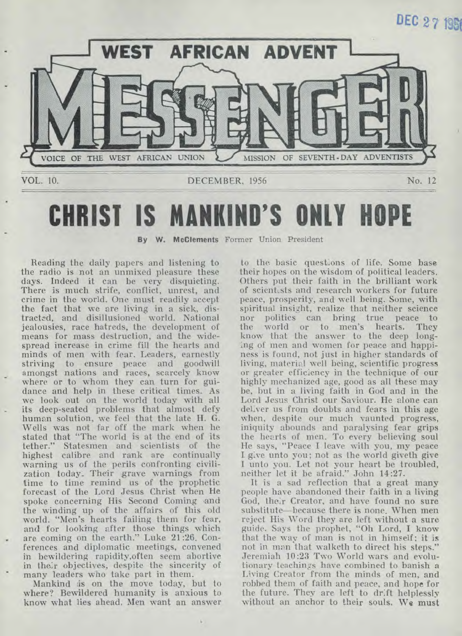# **DEC 27 1951**



# **CHRIST IS MANKIND'S ONLY**

**By W. McClements** Former Union President

Reading the daily papers and listening to the radio is not an unmixed pleasure these days. Indeed it can be very disquieting. There is much strife, conflict, unrest, and crime in the world. One must readily accept the fact that we are living in a sick, distracted, and disillusioned world. National jealousies, race hatreds, the development of means for mass destruction, and the widespread increase in crime fill the hearts and minds of men with fear. Leaders, earnestly striving to ensure peace and goodwill amongst nations and races, scarcely know where or to whom they can turn for guidance and help in these critical times. As we look out on the world today with all its deep-seated problems that almost defy human solution, we feel that the late H. G. Wells was not far off the mark when he stated that "The world is at the end of its tether." Statesmen and scientists of the highest calibre and rank are continually warning us of the perils confronting civilization today.. Their grave warnings from time to time remind us of the prophetic forecast of the Lord Jesus Christ when He spoke concerning His Second Coming and the winding up of the affairs of this old world. "Men's hearts failing them for fear, and for looking after those things which are coming on the earth." Luke 21:26. Conferences and diplomatic meetings, convened in bewildering rapidity,often seem abortive in their objectives, despite the sincerity of many leaders who take part in them.

Mankind is on the move today, but to where? Bewildered humanity is anxious to know what lies ahead. Men want an answer to the basic questions of life. Some base their hopes on the wisdom of political leaders. Others put their faith in the brilliant work of scientists and research workers for future peace, prosperity, and well being. Some, with spiritual insight, realize that neither science nor politics can bring true peace to<br>the world or to men's hearts. They world or to men's hearts. know that the answer to the deep longing of men and women for peace and happiness is found, not just in higher standards of living, material well being, scientific progress or greater efficiency in the technique of our highly mechanized age, good as all these may be, but in a living faith in God and in the Lord Jesus Christ our Saviour. He alone can deliver us from doubts and fears in this age when, despite our much vaunted progress, iniquity abounds and paralysing fear grips the hearts of men. To every believing soul He says, "Peace I leave with you, my peace I. give unto you; not as the world giveth give I unto you. Let not your heart be troubled, neither let it be afraid." John 14:27.

It is a sad reflection that a great many people have abandoned their faith in a living God, their Creator, and have found no sure substitute—because there is none. When men reject His Word they are left without a sure guide. Says the prophet, "Oh Lord, I know that the way of man is not in himself; it is not in man that walketh to direct his steps." Jeremiah 10:23 Two World wars and evolutionary teachings have combined to banish a Living Creator from the minds of men, and robbed them of faith and peace, and hope for the future. They are left to drift helplessly without an anchor to their souls. **We must**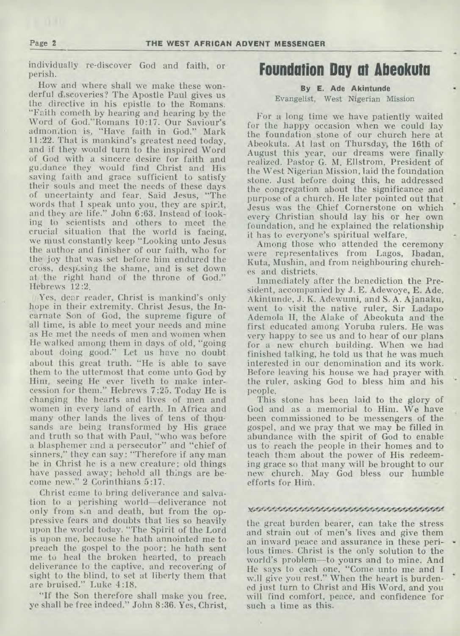individually re-discover God and faith, or perish.

How and where shall we make these wonderful discoveries? The Apostle Paul gives us the directive in his epistle to the Romans. "Faith cometh by hearing and hearing by the Word of God."Romans 10:17. Our Saviour's admonition is, "Have faith in God." Mark 11:22. That is mankind's greatest need today, and if they would turn to the inspired Word of God with a sincere desire for faith and guidance they would find Christ and His saving faith and grace sufficient to satisfy their souls and meet the needs of these days of uncertainty and fear. Said Jesus, "The words that I speak unto you, they are spirit, and they are life." John 6:63. Instead of looking to scientists and others to meet the crucial situation that the world is facing, we must constantly keep "Looking unto Jesus the author and finisher of our faith, who for the joy that was set before him endured the cross, despising the shame, and is set down at the right hand of the throne of God." Hebrews 12:2.

Yes, dear reader, Christ is mankind's only hope in their extremity. Christ Jesus, the Incarnate Son of God, the supreme figure of all time, is able to meet your needs and mine as He met the needs of men and women when He walked among them in days of old, "going about doing good." Let us have no doubt about this great truth. "He is able to save them to the uttermost that come unto God by Him, seeing He ever liveth to make intercession for them." Hebrews 7:25. Today He is changing the hearts and lives of men and women in every land of earth. In Africa and many other lands the lives of tens of thousands are being transformed by His grace and truth so that with Paul, "who was before a blasphemer and a persecutor" and "chief of sinners," they can say: "Therefore if any man be in Christ he is a new creature; old things have passed away; behold all things are become new." 2 Corinthians 5:17.

Christ came to bring deliverance and salvation to a perishing world—deliverance not only from sin and death, but from the oppressive fears and doubts that lies so heavily upon the world today. "The Spirit of the Lord is upon me, because he hath annointed me to preach the gospel to the poor; he hath sent me to heal the broken hearted, to preach deliverance to the captive, and recovering of sight to the blind, to set at liberty them that are bruised." Luke 4:18.

"If the Son therefore shall make you free. yeshall be free indeed." John 8:36. Yes, Christ,

### **Foundation Day at Abeokuta**

#### **By E. Ade Akintunde**  Evangelist, West Nigerian Mission

For a long time we have patiently waited for the happy occasion when we could lay the foundation stone of our church here at Abeokuta. At last on Thursday, the 16th of August this year, our dreams were finally realized. Pastor G. M. Ellstrom, President of the West Nigerian Mission, laid the foundation stone. Just before doing this, he addressed the congregation about the significance and purpose of a church. He later pointed out that Jesus was the Chief Cornerstone on which every Christian should lay his or her own foundation, and he explained the relationship it has to everyone's spiritual welfare.

Among those who attended the ceremony were representatives from Lagos, Ibadan, Kuta, Mushin, and from neighbouring churches and districts.

Immediately after the benediction the President, accompanied by J. E. Adewoye, E. Ade. Akintunde, J. K. Adewumi, and S. A. Ajanaku, went to visit the native ruler, Sir Ladapo Ademola II, the Alake of Abeokuta and the first educated among Yoruba rulers. He was very happy to see us and to hear of our plans for a new church building. When we had finished talking, he told us that he was much interested in our denomination and its work. Before leaving his house we had prayer with the ruler, asking God to bless him and his people.

This stone has been laid to the glory of God and as a memorial to Him. We have been commissioned to be messengers of the gospel, and we pray that we may be filled in abundance with the spirit of God to enable us to reach the people in their homes and to teach them about the power of His redeeming grace so that many will be brought to our new church. May God bless our humble efforts for Him.

#### <sup>s</sup>o,. • •

the great burden bearer, can take the stress and strain out of men's lives and give them an inward peace and assurance in these perilous times. Christ is the only solution to the world's problem--to yours and to mine. And He says to each one, "Come unto me and I will give you rest." When the heart is burdened just turn to Christ and His Word, and you will find comfort, peace, and confidence for such a time as this.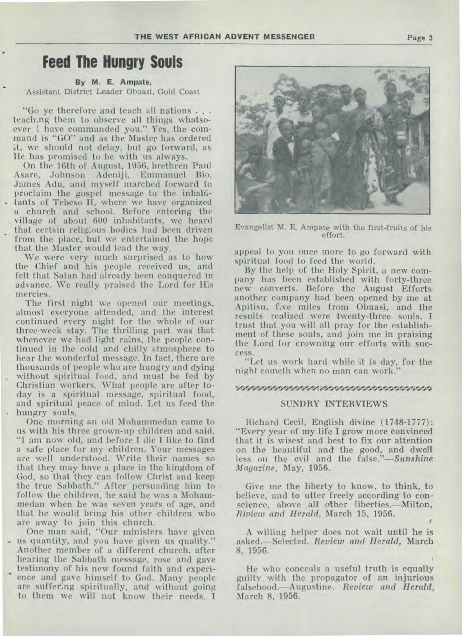### **Feed The Hungry Souls**

#### **By M. E. Ampate,**

Assistant District Leader Obuasi, Gold Coast

"Go ye therefore and teach all nations . . . teach.ng them to observe all things whatsoever I have commanded you." Yes, the command is "GO" and as the Master has ordered it, we should not delay, but go forward, as He has promised to be with us always.

On the 16th of August, 1956, brethren Paul Asare, Johnson Adeniji, Emmanuel Bio, James Adu, and myself marched forward to proclaim the gospel message to the inhabitants of Tebeso II, where we have organized a church and school. Before entering the village of about 600 inhabitants, we heard that certain religious bodies had been driven from the place, but we entertained the hope that the Master would lead the way.

We were very much surprised as to how the Chief and his people received us, and felt that Satan had already been conquered in advance. We really praised the Lord for His mercies.

The first night we opened our meetings, almost everyone attended, and the interest continued every night for the whole of our three-week stay. The thrilling part was that whenever we had light rains, the people continued in the cold and chilly atmosphere to hear the wonderful message. In fact, there are thousands of people who are hungry and dying without spiritual food, and must be fed by Christian workers. What people are after today is a spiritual message, spiritual food, and spiritual peace. of mind. Let us feed the hungry souls.

One morning an old Mohammedan came to us with his three grown-up children and said, "I am now old, and before I die I like to find a safe place for my children. Your messages are well understood. Write their names so that they may have a place in the kingdom of God, so that they can follow Christ and keep the true Sabbath." After persuading him to follow the children, he said he was a Mohammedan when he was seven years of age, and that he would bring his other children who are away to join this church.

One man said, "Our ministers have given us quantity, and you have given us quality." Another member of a different church, after hearing the Sabbath message, rose and gave testimony of his new found faith and experience and gave himself to God. Many people are suffering spiritually, and without going to them we will not know their needs. I



**Evangelist M. E. Ampate** with the first-fruits of his effort.

appeal to you once more to go forward with spiritual food to feed the world.

By the help of the Holy Spirit, a new company has been established with forty-three new converts. Before the August Efforts another company had been opened by me at Apitisu, five miles from Obuasi, and the results realized were twenty-three souls. I trust that you will all pray for the establishment of these souls, and join me in praising the Lord for crowning our efforts with success.

"Let us work hard while it is day, for the night cometh when no man can work."

#### %Ii1M4gAlitS'0414AWS4K4414

#### SUNDRY INTERVIEWS

Richard Cecil, English divine (1748-1777): "Every year of my life I grow more convinced that it is wisest and best to fix our attention on the beautiful and the good, and dwell less on the evil and the *false."—Sunshine Magazine,* May, 1956.

Give me the liberty to know, to think, to believe, and to utter freely according to conscience, above all other liberties.—Milton, *Riview and Herald,* March 15, 1956.

A willing helper does not wait until **he** is asked.—Selected. *Review and Herald,* March 8, 1956.

He who conceals a useful truth is equally guilty with the propagator of an injurious falsehood.—Augustine. *Review and Herald,*  March 8, **1956.**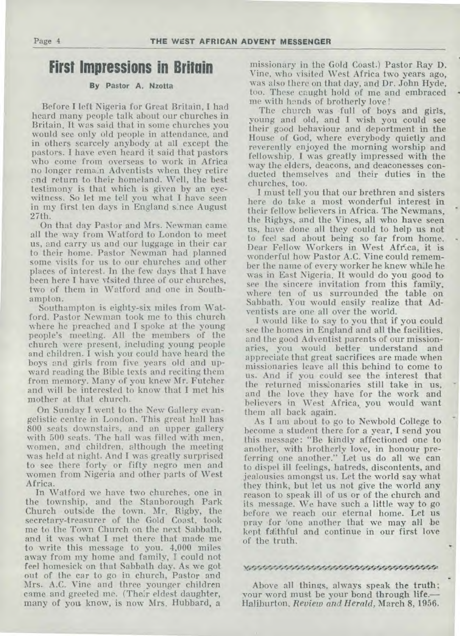### **First Impressions in Britain**

#### By Pastor A. Nzotta

Before I left Nigeria for Great Britain, I had heard many people talk about our churches in Britain. It was said that in some churches you would see only old people in attendance, and in others scarcely anybody at all except the pastors. I have even heard it said that pastors who come from overseas to work in Africa no longer remain Adventists when they retire and return to their homeland. Well, the best testimony is that which is given by an eyewitness. So let me tell you what I have seen in my first ten days in England s:nce August 27th.

On that day Pastor and Mrs. Newman came all the way from Watford to London to meet us, and carry us and our luggage in their car to their home. Pastor Newman had planned some visits for us to our churches and other places of interest. In the few days that I. have been here I have visited three of our churches, two of them in Watford and one in Southampton.

Southampton is eighty-six miles from Watford. Pastor Newman took me to this church where he preached and I spoke at the young people's meeting. All the members of the church were present, including young people and children. I wish you could have heard the boys and girls from five years old and upward reading the Bible texts and reciting them from memory. Many of you knew Mr. Futcher and will be interested to know that I met his mother at that church.

On Sunday I went to the New Gallery evangelistic centre in London. This great hall has 800 seats downstairs, and an upper gallery with 500 seats. The hall was filled with men, women, and children, although the meeting was held at night. And I was greatly surprised to see there forty or fifty negro men and women from Nigeria and other parts of West Africa.

In Watford we have two churches, one in the township, and the Stanborough Park Church outside the town. Mr. Rigby, the secretary-treasurer of the Gold Coast, took me to the Town Church on the next Sabbath, and it was what I met there that made me to write this message to you. 4,000 miles away from my home and family, I could not feel homesick on that Sabbath day. As we got out of the car to go in church, Pastor and Mrs. A.C. Vine and three younger children came and greeted me. (Their eldest daughter, many of you know, is now Mrs. Hubbard, a

missionary in the Gold Coast.) Pastor Ray D. Vine, who visited West Africa two years ago, was also there on that day, and Dr. John Hyde, too. These caught hold of me and embraced me with hands of brotherly love !

The church was full of boys and girls, young and old, and I wish you could see their good behaviour and deportment in the House of God, where everybody quietly and reverently enjoyed the morning worship and fellowship. I was greatly impressed with the way the elders, deacons, and deaconesses conducted themselves and their duties in the churches, too.

I must tell you that our brethren and sisters here do take a most wonderful interest in their fellow believers in Africa. The Newmans, the Rigbys, and the Vines, all who have seen us, have done all they could to help us not to feel sad about being so far from home. Dear Fellow Workers in West Affica, it is wonderful how Pastor A.C. Vine could remember the name of every worker he knew while he was in East Nigeria. It would do you good to see the sincere invitation from this family, where ten of us surrounded the table on Sabbath. You would easily realize that Adventists are one all over the world.

I would like to say to you that if you could *see* the homes in England and all the facilities, and the good Adventist parents of our missionaries, you would better understand and appreciate that great sacrifices are made when missionaries leave all this behind to come to us. And if you could see the interest that the returned missuonaries still take in us, and the love they have for the work and believers in West Africa, you would want them all back again.

As I am about to go to Newbold College to become a student there for a year, I send you this message: "Be kindly affectioned one to another, with brotherly love, in honour preferring one another." Let us do all we can to dispel ill feelings, hatreds, discontents, and jealousies amongst us. Let the world say what they think, but let us not give the world any reason to speak ill of us or of the church and its message. We have such a little way to go before we reach our eternal home. Let us pray for 'one another that we may all be kept faithful and continue in our first love of the truth.

#### 

Above all things, always speak the truth; your word must be your bond through life.— Haliburton. *Review and Herald,* March 8, 1956.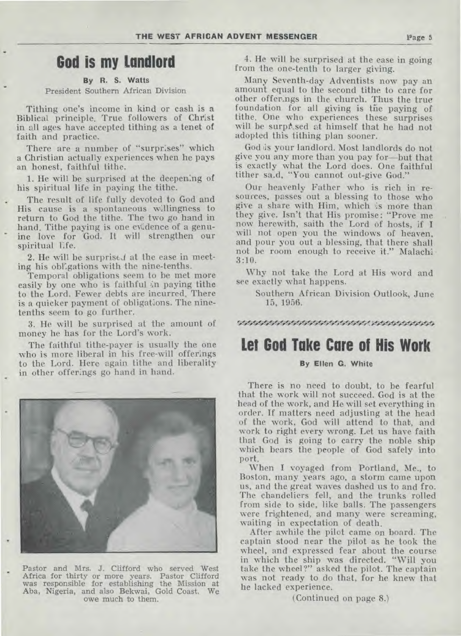### **God is my Landlord**

**By R. S. Watts**  President Southern African Division

Tithing one's income in kind or cash is a Biblical principle. True followers of Christ in all ages have accepted tithing as a tenet of faith and practice.

There are a number of "surprises" which a Christian actually experiences when he pays an honest, faithful tithe.

1. He will be surprised at the deepening of his spiritual life in paying the tithe.

The result of life fully devoted to God and His cause is a spontaneous willingness to return to God the tithe. The two go hand in hand. Tithe paying is one evidence of a genuine love for God. It will strengthen our spiritual life.

2. He will be surprised at the ease in meeting his obligations with the nine-tenths.

Temporal obligations seem to be met more easily by one who is faithful in paying tithe to the Lord. Fewer debts are incurred. There is a quicker payment of obligations. The ninetenths seem to go further.

3. He will be surprised at the amount of money he has for the Lord's work.

The faithful tithe-payer is usually the one who is more liberal in his free-will offerings to the Lord. Here again tithe and liberality in other offerings go hand in hand.



Pastor and Mrs. J. Clifford who served West Africa for thirty or more years. Pastor Clifford was responsible for establishing the Mission at Aba, Nigeria, and also Bekwai, Gold Coast. We owe much to them.

4. He will be surprised at the ease in going from the one-tenth to larger giving.

Many Seventh-day Adventists now pay an amount equal to the second tithe to care for other offerings in the church. Thus the true foundation for all giving is the paying of tithe. One who experiences these surprises will be surp&sed at himself that he had not adopted this tithing plan sooner.

God ,is your landlord. Most landlords do not give you any more than you pay for—but that is exactly what the Lord does. One faithful tither sa.d, "You cannot out-give God."

Our heavenly Father who is rich in resources, passes out a blessing to those who give a share with Him, which 'is more than they give. Isn't that His promise: "Prove me now herewith, saith the Lord of hosts, if I will not open you the windows of heaven, and pour you out a blessing, that there shall not be room enough to receive it." Malachi 3:10.

Why not take the Lord at His word and see exactly what happens.

Southern African Division Outlook, June 15, 1956.

### • Ao`15`.'0`4V34

### **Let God Take Care of His Work**

#### **By Ellen G. White**

There is no need to doubt, to be fearful that the work will not succeed. God is at the head of the work, and He will set everything in order. If matters need adjusting at the head of the work, God will attend to that, and work to right every wrong. Let us have faith that God is going to carry the noble ship which bears the people of God safely into port.

When I voyaged from Portland, Me., to Boston, many years ago, a storm came upon us, and the great waves dashed us to and fro. The chandeliers fell, and the trunks rolled from side to side, like balls. The passengers were frightened, and many were screaming, waiting in expectation of death.

After awhile the pilot came on board. The captain stood near the pilot as he took the wheel, and expressed fear about the course in which the ship was directed. "Will you take the wheel?" asked the pilot. The captain was not ready to do that, for he knew that he lacked experience.

(Continued on page 8.)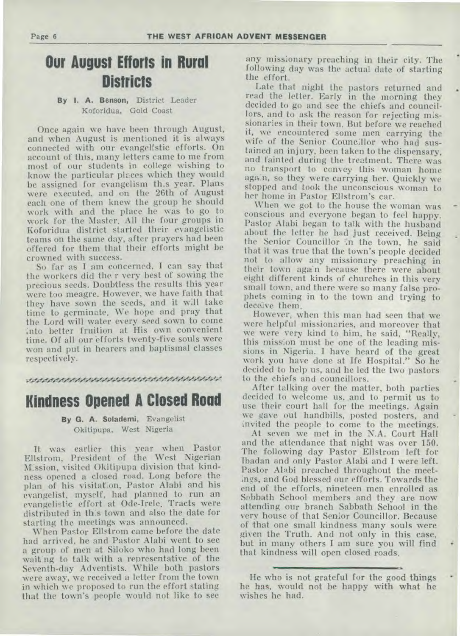**Page 6 THE WEST AFRICAN ADVENT MESSENGER** 

# **Our August Efforts in Rural Districts**

### **By I. A. Benson,** District Leader Koforidua, Gold Coast

Once again we have been through August, and when August is mentioned it is always connected with our evangelistic efforts. On account of this, many letters came to me from most of our students in college wishing to know the particular places which they would be assigned for evangelism this year. Plans were executed. and on the 26th of August each one of them knew the group he should work with and the place he was to go to work for the Master. All the four groups in Koforidua district started their evangelistic teams on the same day, after prayers had been offered for them that their efforts might be crowned with success.

So far as I am concerned, I can say that the workers did the r very best of sowing the precious seeds. Doubtless the results this year were too meagre. However, we have faith that they have sown the seeds, and it will take time to germinate. We hope and pray that the Lord will water every seed sown to come into better fruition at His own convenient time. Of all our efforts twenty-five souls were won and put in hearers and baptismal classes respectively.

### 

### **Kindness Opened A Closed Road**

#### **By G. A. Solademi,** Evangelist Okitipupa, West Nigeria

It was earlier this year when Pastor Ellstrom, President of the West Nigerian Mission, visited Okitipupa division that kindness opened a closed road. Long before the plan of his visitaton, Pastor Alabi and his evangelist, myself, had planned to run an evangelistic effort at Ode-Irele. Tracts were distributed in this town and also the date for starting the meetings was announced.

When Pastor Ellstrom came before the date had arrived, he and Pastor Alabi went to see a group of men at. Siloko who had long been wait'ng to talk with a representative of the Seventh-day Adventists. While both pastors were away, we received a letter from the town in which we proposed to run the effort stating that the town's people would not like to see

any missionary preaching in their city. The following day was the actual date of starting the effort.

Late that night the pastors returned and read the letter. Early in the morning they decided to go and see the chiefs and councillors, and to ask the reason for rejecting missionaries in their town. But before we reached it, we encountered some men carrying the wife of the Senior Councillor who had sustained an injury, been taken to the dispensary, and fainted during the treatment. There was no transport to convey this woman home again, so they were carrying her. Quickly we stopped and took the unconscious woman to her home in Pastor Ellstrom's car.

When we got to the house the woman was conscious and everyone began to feel happy. Pastor Alabi began to talk with the husband about the letter he had just received. Being the Senior Councillor in the town, he said that it was true that the town's people decided not to allow any missionary preaching in their town again because there were about eight different kinds of churches in this very small town, and there were so many false prophets coming in to the town and trying to deceive them.

However, when this man had seen that we were helpful missionaries, and moreover that we were very kind to him, he said, "Really, this mission must be one of the leading missions in Nigeria. I have heard of the great work you have done at Ife Hospital." So he decided to help us, and he led the two pastors to the chiefs and councillors.

After talking over the matter, both parties decided to welcome us, and to permit us to use their court hall for the meetings. Again we gave out handbills, posted posters, and invited the people to come to the meetings.

At seven we met in the N.A. Court Hall and the attendance that night was over 150. The following day Pastor Ellstrom left for Ibadan and only Pastor Alabi and I were left. Pastor Alabi preached throughout the meetings, and God blessed our efforts. Towards the end of the efforts, nineteen men enrolled as Sabbath School members and they are now attending our branch Sabbath School in the very house of that Senior Councillor. Because of that one small kindness many souls were given the Truth. And not only in this case, but in many others I am sure you will find that kindness will open closed roads.

He who is not grateful for the good things he has, would not be happy with what he wishes he had.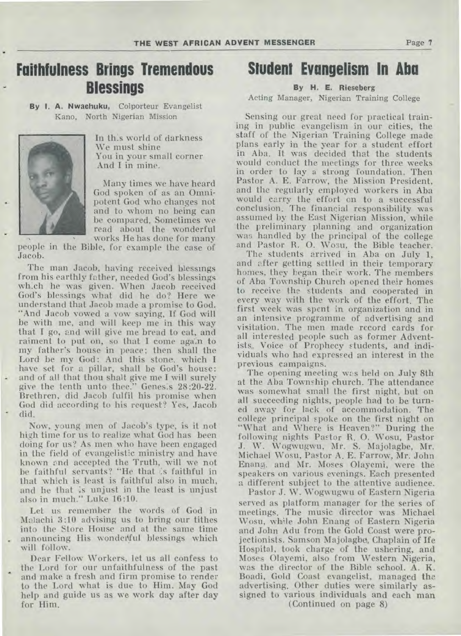# **Faithfulness Brings Tremendous Blessings**

**By I. A. Nwachuku,** Colporteur Evangelist Kano, North Nigerian Mission



In this world of darkness We must shine You in your small corner And I in mine.

Many times we have heard God spoken of as an Omnipotent God who changes not and to whom no being can be compared. Sometimes we read about the wonderful works He has done for many

people in the Bible, for example the case of Jacob.

The man Jacob, having received blessings from his earthly father, needed God's blessings which he was given. When Jacob received God's blessings what did he do? Here we understand that Jacob made a promise to God. "And Jacob vowed a vow saying, If God will be with me, and will keep me in this way that I go, and will give me bread to eat, and raiment to put on, so that I come again to my father's house in peace; then shall the Lord be my God: And this stone, which I have set for a pillar, shall be God's house: and of all that thou shalt give me I will surely give the tenth unto thee." Genesis 28:20-22. Brethren, did Jacob fulfil his promise when God did according to his request? Yes, Jacob did.

Now, young men of Jacob's type, is it not high time for us to realize what God has been doing for us? As men who have been engaged in the field of evangelistic ministry and have known and accepted the Truth, will we not be faithful servants? "He that is faithful in that which is least is faithful also in much, and he that :s unjust in the least is unjust also in much." Luke 16:10.

Let us remember the words of God in Malachi 3:10 advising us to bring our tithes into the Store House and at the same time announcing His wonderful blessings which will follow.

Dear Fellow Workers, let us all confess to the Lord for our unfaithfulness of the past and make a fresh and firm promise to render to the Lord what is due to Him. May God help and guide us as we work day after day for Him.

### **Student Evangelism In Aba**

### **By H. E. Rieseberg**

Acting Manager, Nigerian Training College

Sensing our great need for practical training in public evangelism in our cities, the staff of the Nigerian Training College made plans early in the year for a student effort in Aba. It was decided that the students would conduct the meetings for three weeks in order to lay a strong foundation. Then Pastor A. E. Farrow, the Mission President, and the regularly employed workers in Aba would carry the effort on to a successful conclusion. The financial responsibility was assumed by the East Nigerian Mission, while the preliminary planning and organization was handled by the principal of the college and Pastor R. 0. Wosu, the Bible teacher.

The students arrived in Aba on July 1, and after getting settled in their temporary homes, they began their work. The members of Aba Township Church opened their homes to receive the students and cooperated in every way with the work of the effort. The first week was spent in organization and in an intensive programme of advertising and visitation. The men made record cards for all interested people such as former Adventists, Voice of Prophecy students, and individuals who had expressed an interest in the previous campaigns.

The opening meeting was held on July 8th at the Aba Township church. The attendance was somewhat small the first night, but on **all** succeeding nights, people had to be turned away for lack of accommodation. The college principal spoke on the first night on "What and Where is Heaven?" During the following nights Pastor R. 0. Wosu, Pastor J. W. Wogwugwu, Mr. S. Majolagbe, Mr. Michael Wosu, Pastor A. E. Farrow, Mr. John Enang. and Mr. Moses Olayemi, were the speakers on various evenings. Each presented a different subject to the attentive audience.

Pastor J. W. Wogwugwu of Eastern Nigeria served as platform manager for the series of meetings. The music director was Michael Wosu, while John Enang of Eastern Nigeria and John Adu from the Gold Coast were projectionists. Samson Majolagbe, Chaplain of Ife Hospital, took charge of the ushering, and Moses Olayemi, also from Western Nigeria, was the director of the Bible school. A. K. Boadi, Gold Coast evangelist, managed the advertising. Other duties were similarly assigned to various individuals and each man

(Continued on page 8)